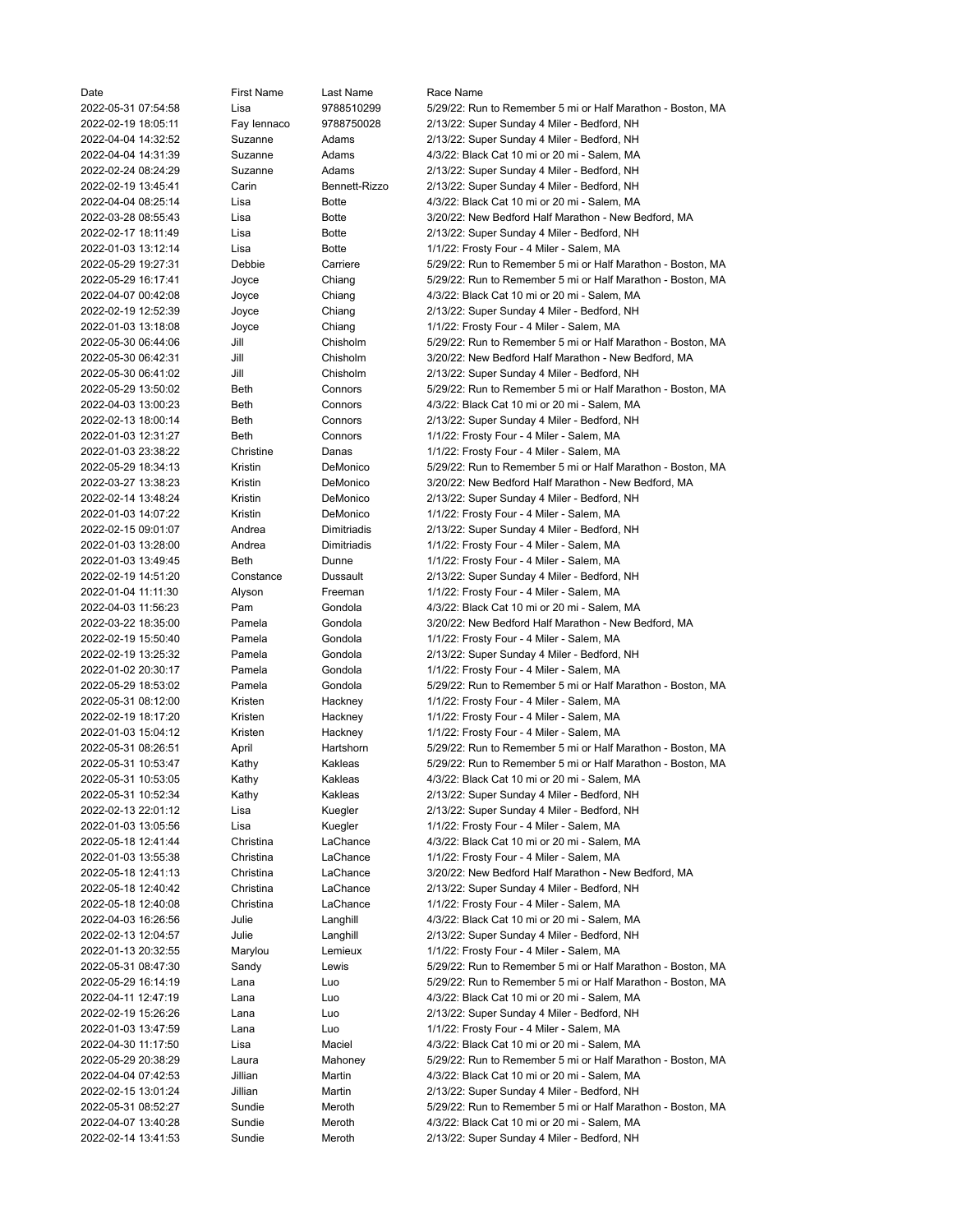| Date                | <b>First Name</b> | Last Name     | Race Name                                                   |
|---------------------|-------------------|---------------|-------------------------------------------------------------|
| 2022-05-31 07:54:58 | Lisa              | 9788510299    | 5/29/22: Run to Remember 5 mi or Half Marathon - Boston, MA |
| 2022-02-19 18:05:11 | Fay lennaco       | 9788750028    | 2/13/22: Super Sunday 4 Miler - Bedford, NH                 |
| 2022-04-04 14:32:52 | Suzanne           | Adams         | 2/13/22: Super Sunday 4 Miler - Bedford, NH                 |
|                     |                   |               |                                                             |
| 2022-04-04 14:31:39 | Suzanne           | Adams         | 4/3/22: Black Cat 10 mi or 20 mi - Salem, MA                |
| 2022-02-24 08:24:29 | Suzanne           | Adams         | 2/13/22: Super Sunday 4 Miler - Bedford, NH                 |
| 2022-02-19 13:45:41 | Carin             | Bennett-Rizzo | 2/13/22: Super Sunday 4 Miler - Bedford, NH                 |
| 2022-04-04 08:25:14 | Lisa              | <b>Botte</b>  | 4/3/22: Black Cat 10 mi or 20 mi - Salem, MA                |
| 2022-03-28 08:55:43 | Lisa              | <b>Botte</b>  | 3/20/22: New Bedford Half Marathon - New Bedford, MA        |
| 2022-02-17 18:11:49 | Lisa              | <b>Botte</b>  | 2/13/22: Super Sunday 4 Miler - Bedford, NH                 |
| 2022-01-03 13:12:14 | Lisa              | <b>Botte</b>  | 1/1/22: Frosty Four - 4 Miler - Salem, MA                   |
| 2022-05-29 19:27:31 | Debbie            | Carriere      | 5/29/22: Run to Remember 5 mi or Half Marathon - Boston, MA |
|                     |                   |               |                                                             |
| 2022-05-29 16:17:41 | Joyce             | Chiang        | 5/29/22: Run to Remember 5 mi or Half Marathon - Boston, MA |
| 2022-04-07 00:42:08 | Joyce             | Chiang        | 4/3/22: Black Cat 10 mi or 20 mi - Salem, MA                |
| 2022-02-19 12:52:39 | Joyce             | Chiang        | 2/13/22: Super Sunday 4 Miler - Bedford, NH                 |
| 2022-01-03 13:18:08 | Joyce             | Chiang        | 1/1/22: Frosty Four - 4 Miler - Salem, MA                   |
| 2022-05-30 06:44:06 | Jill              | Chisholm      | 5/29/22: Run to Remember 5 mi or Half Marathon - Boston, MA |
| 2022-05-30 06:42:31 | Jill              | Chisholm      | 3/20/22: New Bedford Half Marathon - New Bedford, MA        |
| 2022-05-30 06:41:02 | Jill              | Chisholm      | 2/13/22: Super Sunday 4 Miler - Bedford, NH                 |
| 2022-05-29 13:50:02 | Beth              | Connors       | 5/29/22: Run to Remember 5 mi or Half Marathon - Boston, MA |
| 2022-04-03 13:00:23 | Beth              | Connors       | 4/3/22: Black Cat 10 mi or 20 mi - Salem, MA                |
|                     |                   |               |                                                             |
| 2022-02-13 18:00:14 | Beth              | Connors       | 2/13/22: Super Sunday 4 Miler - Bedford, NH                 |
| 2022-01-03 12:31:27 | Beth              | Connors       | 1/1/22: Frosty Four - 4 Miler - Salem, MA                   |
| 2022-01-03 23:38:22 | Christine         | Danas         | 1/1/22: Frosty Four - 4 Miler - Salem, MA                   |
| 2022-05-29 18:34:13 | Kristin           | DeMonico      | 5/29/22: Run to Remember 5 mi or Half Marathon - Boston, MA |
| 2022-03-27 13:38:23 | Kristin           | DeMonico      | 3/20/22: New Bedford Half Marathon - New Bedford, MA        |
| 2022-02-14 13:48:24 | Kristin           | DeMonico      | 2/13/22: Super Sunday 4 Miler - Bedford, NH                 |
| 2022-01-03 14:07:22 | Kristin           | DeMonico      | 1/1/22: Frosty Four - 4 Miler - Salem, MA                   |
| 2022-02-15 09:01:07 | Andrea            | Dimitriadis   | 2/13/22: Super Sunday 4 Miler - Bedford, NH                 |
|                     |                   |               |                                                             |
| 2022-01-03 13:28:00 | Andrea            | Dimitriadis   | 1/1/22: Frosty Four - 4 Miler - Salem, MA                   |
| 2022-01-03 13:49:45 | Beth              | Dunne         | 1/1/22: Frosty Four - 4 Miler - Salem, MA                   |
| 2022-02-19 14:51:20 | Constance         | Dussault      | 2/13/22: Super Sunday 4 Miler - Bedford, NH                 |
| 2022-01-04 11:11:30 | Alyson            | Freeman       | 1/1/22: Frosty Four - 4 Miler - Salem, MA                   |
| 2022-04-03 11:56:23 | Pam               | Gondola       | 4/3/22: Black Cat 10 mi or 20 mi - Salem, MA                |
| 2022-03-22 18:35:00 | Pamela            | Gondola       | 3/20/22: New Bedford Half Marathon - New Bedford, MA        |
| 2022-02-19 15:50:40 | Pamela            | Gondola       | 1/1/22: Frosty Four - 4 Miler - Salem, MA                   |
| 2022-02-19 13:25:32 | Pamela            | Gondola       | 2/13/22: Super Sunday 4 Miler - Bedford, NH                 |
| 2022-01-02 20:30:17 | Pamela            | Gondola       | 1/1/22: Frosty Four - 4 Miler - Salem, MA                   |
|                     |                   |               |                                                             |
| 2022-05-29 18:53:02 | Pamela            | Gondola       | 5/29/22: Run to Remember 5 mi or Half Marathon - Boston, MA |
| 2022-05-31 08:12:00 | Kristen           | Hackney       | 1/1/22: Frosty Four - 4 Miler - Salem, MA                   |
| 2022-02-19 18:17:20 | Kristen           | Hackney       | 1/1/22: Frosty Four - 4 Miler - Salem, MA                   |
| 2022-01-03 15:04:12 | Kristen           | Hackney       | 1/1/22: Frosty Four - 4 Miler - Salem, MA                   |
| 2022-05-31 08:26:51 | April             | Hartshorn     | 5/29/22: Run to Remember 5 mi or Half Marathon - Boston, MA |
| 2022-05-31 10:53:47 | Kathy             | Kakleas       | 5/29/22: Run to Remember 5 mi or Half Marathon - Boston, MA |
| 2022-05-31 10:53:05 | Kathy             | Kakleas       | 4/3/22: Black Cat 10 mi or 20 mi - Salem, MA                |
| 2022-05-31 10:52:34 | Kathy             | Kakleas       | 2/13/22: Super Sunday 4 Miler - Bedford, NH                 |
| 2022-02-13 22:01:12 |                   |               | 2/13/22: Super Sunday 4 Miler - Bedford, NH                 |
|                     | Lisa              | Kuegler       |                                                             |
| 2022-01-03 13:05:56 | Lisa              | Kuegler       | 1/1/22: Frosty Four - 4 Miler - Salem, MA                   |
| 2022-05-18 12:41:44 | Christina         | LaChance      | 4/3/22: Black Cat 10 mi or 20 mi - Salem, MA                |
| 2022-01-03 13:55:38 | Christina         | LaChance      | 1/1/22: Frosty Four - 4 Miler - Salem, MA                   |
| 2022-05-18 12:41:13 | Christina         | LaChance      | 3/20/22: New Bedford Half Marathon - New Bedford, MA        |
| 2022-05-18 12:40:42 | Christina         | LaChance      | 2/13/22: Super Sunday 4 Miler - Bedford, NH                 |
| 2022-05-18 12:40:08 | Christina         | LaChance      | 1/1/22: Frosty Four - 4 Miler - Salem, MA                   |
| 2022-04-03 16:26:56 | Julie             | Langhill      | 4/3/22: Black Cat 10 mi or 20 mi - Salem, MA                |
| 2022-02-13 12:04:57 | Julie             | Langhill      | 2/13/22: Super Sunday 4 Miler - Bedford, NH                 |
| 2022-01-13 20:32:55 |                   |               |                                                             |
|                     | Marylou           | Lemieux       | 1/1/22: Frosty Four - 4 Miler - Salem, MA                   |
| 2022-05-31 08:47:30 | Sandy             | Lewis         | 5/29/22: Run to Remember 5 mi or Half Marathon - Boston, MA |
| 2022-05-29 16:14:19 | Lana              | Luo           | 5/29/22: Run to Remember 5 mi or Half Marathon - Boston, MA |
| 2022-04-11 12:47:19 | Lana              | Luo           | 4/3/22: Black Cat 10 mi or 20 mi - Salem, MA                |
| 2022-02-19 15:26:26 | Lana              | Luo           | 2/13/22: Super Sunday 4 Miler - Bedford, NH                 |
| 2022-01-03 13:47:59 | Lana              | Luo           | 1/1/22: Frosty Four - 4 Miler - Salem, MA                   |
| 2022-04-30 11:17:50 | Lisa              | Maciel        | 4/3/22: Black Cat 10 mi or 20 mi - Salem, MA                |
| 2022-05-29 20:38:29 | Laura             | Mahoney       | 5/29/22: Run to Remember 5 mi or Half Marathon - Boston, MA |
| 2022-04-04 07:42:53 | Jillian           | Martin        | 4/3/22: Black Cat 10 mi or 20 mi - Salem, MA                |
|                     |                   |               |                                                             |
| 2022-02-15 13:01:24 | Jillian           | Martin        | 2/13/22: Super Sunday 4 Miler - Bedford, NH                 |
| 2022-05-31 08:52:27 | Sundie            | Meroth        | 5/29/22: Run to Remember 5 mi or Half Marathon - Boston, MA |
| 2022-04-07 13:40:28 | Sundie            | Meroth        | 4/3/22: Black Cat 10 mi or 20 mi - Salem, MA                |
| 2022-02-14 13:41:53 | Sundie            | Meroth        | 2/13/22: Super Sunday 4 Miler - Bedford, NH                 |
|                     |                   |               |                                                             |